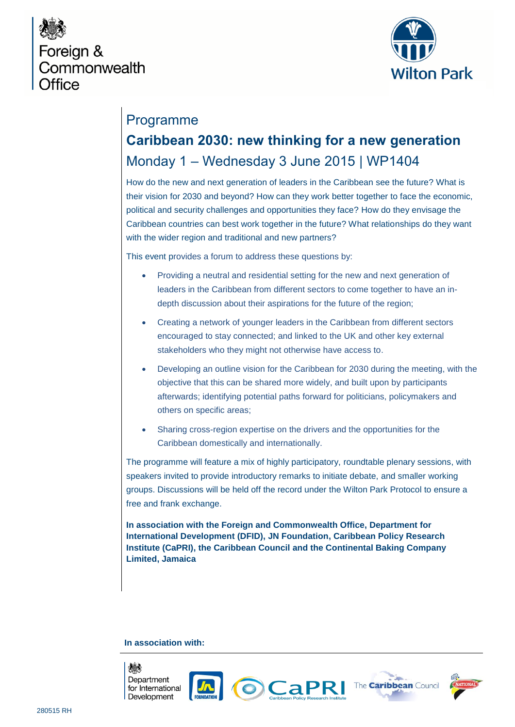



## Programme

# **Caribbean 2030: new thinking for a new generation**  Monday 1 – Wednesday 3 June 2015 | WP1404

How do the new and next generation of leaders in the Caribbean see the future? What is their vision for 2030 and beyond? How can they work better together to face the economic, political and security challenges and opportunities they face? How do they envisage the Caribbean countries can best work together in the future? What relationships do they want with the wider region and traditional and new partners?

This event provides a forum to address these questions by:

- Providing a neutral and residential setting for the new and next generation of leaders in the Caribbean from different sectors to come together to have an indepth discussion about their aspirations for the future of the region;
- Creating a network of younger leaders in the Caribbean from different sectors encouraged to stay connected; and linked to the UK and other key external stakeholders who they might not otherwise have access to.
- Developing an outline vision for the Caribbean for 2030 during the meeting, with the objective that this can be shared more widely, and built upon by participants afterwards; identifying potential paths forward for politicians, policymakers and others on specific areas;
- Sharing cross-region expertise on the drivers and the opportunities for the Caribbean domestically and internationally.

The programme will feature a mix of highly participatory, roundtable plenary sessions, with speakers invited to provide introductory remarks to initiate debate, and smaller working groups. Discussions will be held off the record under the Wilton Park Protocol to ensure a free and frank exchange.

**In association with the Foreign and Commonwealth Office, Department for International Development (DFID), JN Foundation, Caribbean Policy Research Institute (CaPRI), the Caribbean Council and the Continental Baking Company Limited, Jamaica**

### **In association with:**









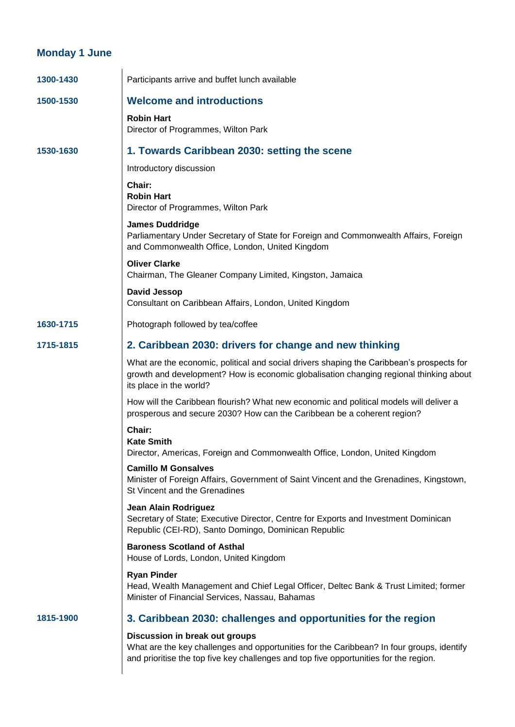### **Monday 1 June**

| 1300-1430 | Participants arrive and buffet lunch available                                                                                                                                                                       |
|-----------|----------------------------------------------------------------------------------------------------------------------------------------------------------------------------------------------------------------------|
| 1500-1530 | <b>Welcome and introductions</b>                                                                                                                                                                                     |
|           | <b>Robin Hart</b><br>Director of Programmes, Wilton Park                                                                                                                                                             |
| 1530-1630 | 1. Towards Caribbean 2030: setting the scene                                                                                                                                                                         |
|           | Introductory discussion                                                                                                                                                                                              |
|           | Chair:<br><b>Robin Hart</b><br>Director of Programmes, Wilton Park                                                                                                                                                   |
|           | <b>James Duddridge</b><br>Parliamentary Under Secretary of State for Foreign and Commonwealth Affairs, Foreign<br>and Commonwealth Office, London, United Kingdom                                                    |
|           | <b>Oliver Clarke</b><br>Chairman, The Gleaner Company Limited, Kingston, Jamaica                                                                                                                                     |
|           | David Jessop<br>Consultant on Caribbean Affairs, London, United Kingdom                                                                                                                                              |
| 1630-1715 | Photograph followed by tea/coffee                                                                                                                                                                                    |
| 1715-1815 | 2. Caribbean 2030: drivers for change and new thinking                                                                                                                                                               |
|           | What are the economic, political and social drivers shaping the Caribbean's prospects for<br>growth and development? How is economic globalisation changing regional thinking about<br>its place in the world?       |
|           | How will the Caribbean flourish? What new economic and political models will deliver a<br>prosperous and secure 2030? How can the Caribbean be a coherent region?                                                    |
|           | Chair:<br><b>Kate Smith</b><br>Director, Americas, Foreign and Commonwealth Office, London, United Kingdom                                                                                                           |
|           | <b>Camillo M Gonsalves</b><br>Minister of Foreign Affairs, Government of Saint Vincent and the Grenadines, Kingstown,<br>St Vincent and the Grenadines                                                               |
|           | <b>Jean Alain Rodriguez</b><br>Secretary of State; Executive Director, Centre for Exports and Investment Dominican<br>Republic (CEI-RD), Santo Domingo, Dominican Republic                                           |
|           | <b>Baroness Scotland of Asthal</b><br>House of Lords, London, United Kingdom                                                                                                                                         |
|           | <b>Ryan Pinder</b><br>Head, Wealth Management and Chief Legal Officer, Deltec Bank & Trust Limited; former<br>Minister of Financial Services, Nassau, Bahamas                                                        |
| 1815-1900 | 3. Caribbean 2030: challenges and opportunities for the region                                                                                                                                                       |
|           | Discussion in break out groups<br>What are the key challenges and opportunities for the Caribbean? In four groups, identify<br>and prioritise the top five key challenges and top five opportunities for the region. |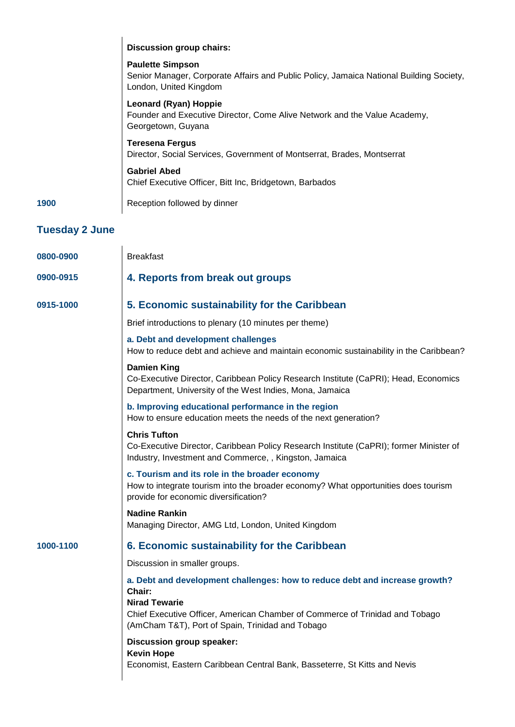|                       | <b>Discussion group chairs:</b>                                                                                                                                                                                                                   |
|-----------------------|---------------------------------------------------------------------------------------------------------------------------------------------------------------------------------------------------------------------------------------------------|
|                       | <b>Paulette Simpson</b><br>Senior Manager, Corporate Affairs and Public Policy, Jamaica National Building Society,<br>London, United Kingdom                                                                                                      |
|                       | <b>Leonard (Ryan) Hoppie</b><br>Founder and Executive Director, Come Alive Network and the Value Academy,<br>Georgetown, Guyana                                                                                                                   |
|                       | <b>Teresena Fergus</b><br>Director, Social Services, Government of Montserrat, Brades, Montserrat                                                                                                                                                 |
|                       | <b>Gabriel Abed</b><br>Chief Executive Officer, Bitt Inc, Bridgetown, Barbados                                                                                                                                                                    |
| 1900                  | Reception followed by dinner                                                                                                                                                                                                                      |
| <b>Tuesday 2 June</b> |                                                                                                                                                                                                                                                   |
| 0800-0900             | <b>Breakfast</b>                                                                                                                                                                                                                                  |
| 0900-0915             | 4. Reports from break out groups                                                                                                                                                                                                                  |
| 0915-1000             | 5. Economic sustainability for the Caribbean                                                                                                                                                                                                      |
|                       | Brief introductions to plenary (10 minutes per theme)                                                                                                                                                                                             |
|                       | a. Debt and development challenges<br>How to reduce debt and achieve and maintain economic sustainability in the Caribbean?                                                                                                                       |
|                       | <b>Damien King</b><br>Co-Executive Director, Caribbean Policy Research Institute (CaPRI); Head, Economics<br>Department, University of the West Indies, Mona, Jamaica                                                                             |
|                       | b. Improving educational performance in the region<br>How to ensure education meets the needs of the next generation?                                                                                                                             |
|                       | <b>Chris Tufton</b><br>Co-Executive Director, Caribbean Policy Research Institute (CaPRI); former Minister of<br>Industry, Investment and Commerce, , Kingston, Jamaica                                                                           |
|                       | c. Tourism and its role in the broader economy<br>How to integrate tourism into the broader economy? What opportunities does tourism<br>provide for economic diversification?                                                                     |
|                       | <b>Nadine Rankin</b><br>Managing Director, AMG Ltd, London, United Kingdom                                                                                                                                                                        |
| 1000-1100             | 6. Economic sustainability for the Caribbean                                                                                                                                                                                                      |
|                       | Discussion in smaller groups.                                                                                                                                                                                                                     |
|                       | a. Debt and development challenges: how to reduce debt and increase growth?<br>Chair:<br><b>Nirad Tewarie</b><br>Chief Executive Officer, American Chamber of Commerce of Trinidad and Tobago<br>(AmCham T&T), Port of Spain, Trinidad and Tobago |
|                       | Discussion group speaker:                                                                                                                                                                                                                         |
|                       | <b>Kevin Hope</b><br>Economist, Eastern Caribbean Central Bank, Basseterre, St Kitts and Nevis                                                                                                                                                    |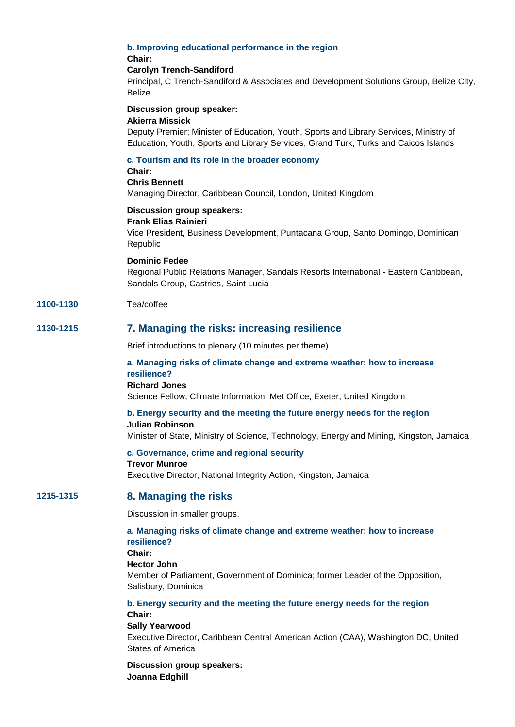|           | b. Improving educational performance in the region<br>Chair:<br><b>Carolyn Trench-Sandiford</b><br>Principal, C Trench-Sandiford & Associates and Development Solutions Group, Belize City,<br><b>Belize</b>                     |
|-----------|----------------------------------------------------------------------------------------------------------------------------------------------------------------------------------------------------------------------------------|
|           | Discussion group speaker:<br><b>Akierra Missick</b><br>Deputy Premier; Minister of Education, Youth, Sports and Library Services, Ministry of                                                                                    |
|           | Education, Youth, Sports and Library Services, Grand Turk, Turks and Caicos Islands                                                                                                                                              |
|           | c. Tourism and its role in the broader economy<br>Chair:<br><b>Chris Bennett</b><br>Managing Director, Caribbean Council, London, United Kingdom                                                                                 |
|           | <b>Discussion group speakers:</b><br><b>Frank Elias Rainieri</b><br>Vice President, Business Development, Puntacana Group, Santo Domingo, Dominican<br>Republic                                                                  |
|           | <b>Dominic Fedee</b><br>Regional Public Relations Manager, Sandals Resorts International - Eastern Caribbean,<br>Sandals Group, Castries, Saint Lucia                                                                            |
| 1100-1130 | Tea/coffee                                                                                                                                                                                                                       |
| 1130-1215 | 7. Managing the risks: increasing resilience                                                                                                                                                                                     |
|           | Brief introductions to plenary (10 minutes per theme)                                                                                                                                                                            |
|           | a. Managing risks of climate change and extreme weather: how to increase<br>resilience?<br><b>Richard Jones</b><br>Science Fellow, Climate Information, Met Office, Exeter, United Kingdom                                       |
|           | b. Energy security and the meeting the future energy needs for the region<br>Julian Robinson<br>Minister of State, Ministry of Science, Technology, Energy and Mining, Kingston, Jamaica                                         |
|           | c. Governance, crime and regional security<br><b>Trevor Munroe</b><br>Executive Director, National Integrity Action, Kingston, Jamaica                                                                                           |
| 1215-1315 | 8. Managing the risks                                                                                                                                                                                                            |
|           | Discussion in smaller groups.                                                                                                                                                                                                    |
|           | a. Managing risks of climate change and extreme weather: how to increase<br>resilience?<br>Chair:<br><b>Hector John</b><br>Member of Parliament, Government of Dominica; former Leader of the Opposition,<br>Salisbury, Dominica |
|           | b. Energy security and the meeting the future energy needs for the region<br>Chair:<br><b>Sally Yearwood</b><br>Executive Director, Caribbean Central American Action (CAA), Washington DC, United<br><b>States of America</b>   |
|           | <b>Discussion group speakers:</b><br>Joanna Edghill                                                                                                                                                                              |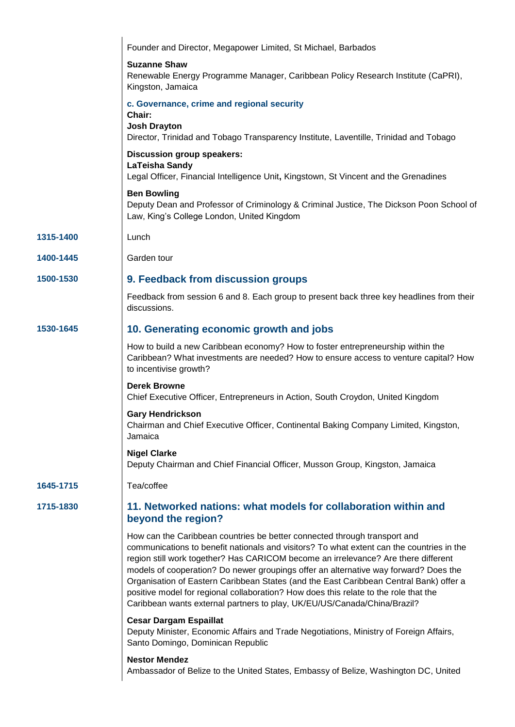|           | Founder and Director, Megapower Limited, St Michael, Barbados                                                                                                                                                                                                                                                                                                                                                                                                                                                                                                                                                      |
|-----------|--------------------------------------------------------------------------------------------------------------------------------------------------------------------------------------------------------------------------------------------------------------------------------------------------------------------------------------------------------------------------------------------------------------------------------------------------------------------------------------------------------------------------------------------------------------------------------------------------------------------|
|           | <b>Suzanne Shaw</b><br>Renewable Energy Programme Manager, Caribbean Policy Research Institute (CaPRI),<br>Kingston, Jamaica                                                                                                                                                                                                                                                                                                                                                                                                                                                                                       |
|           | c. Governance, crime and regional security<br>Chair:<br><b>Josh Drayton</b><br>Director, Trinidad and Tobago Transparency Institute, Laventille, Trinidad and Tobago                                                                                                                                                                                                                                                                                                                                                                                                                                               |
|           | Discussion group speakers:<br><b>LaTeisha Sandy</b><br>Legal Officer, Financial Intelligence Unit, Kingstown, St Vincent and the Grenadines                                                                                                                                                                                                                                                                                                                                                                                                                                                                        |
|           | <b>Ben Bowling</b><br>Deputy Dean and Professor of Criminology & Criminal Justice, The Dickson Poon School of<br>Law, King's College London, United Kingdom                                                                                                                                                                                                                                                                                                                                                                                                                                                        |
| 1315-1400 | Lunch                                                                                                                                                                                                                                                                                                                                                                                                                                                                                                                                                                                                              |
| 1400-1445 | Garden tour                                                                                                                                                                                                                                                                                                                                                                                                                                                                                                                                                                                                        |
| 1500-1530 | 9. Feedback from discussion groups                                                                                                                                                                                                                                                                                                                                                                                                                                                                                                                                                                                 |
|           | Feedback from session 6 and 8. Each group to present back three key headlines from their<br>discussions.                                                                                                                                                                                                                                                                                                                                                                                                                                                                                                           |
| 1530-1645 | 10. Generating economic growth and jobs                                                                                                                                                                                                                                                                                                                                                                                                                                                                                                                                                                            |
|           | How to build a new Caribbean economy? How to foster entrepreneurship within the<br>Caribbean? What investments are needed? How to ensure access to venture capital? How<br>to incentivise growth?                                                                                                                                                                                                                                                                                                                                                                                                                  |
|           | <b>Derek Browne</b><br>Chief Executive Officer, Entrepreneurs in Action, South Croydon, United Kingdom                                                                                                                                                                                                                                                                                                                                                                                                                                                                                                             |
|           | <b>Gary Hendrickson</b><br>Chairman and Chief Executive Officer, Continental Baking Company Limited, Kingston,<br>Jamaica                                                                                                                                                                                                                                                                                                                                                                                                                                                                                          |
|           | <b>Nigel Clarke</b><br>Deputy Chairman and Chief Financial Officer, Musson Group, Kingston, Jamaica                                                                                                                                                                                                                                                                                                                                                                                                                                                                                                                |
| 1645-1715 | Tea/coffee                                                                                                                                                                                                                                                                                                                                                                                                                                                                                                                                                                                                         |
| 1715-1830 | 11. Networked nations: what models for collaboration within and<br>beyond the region?                                                                                                                                                                                                                                                                                                                                                                                                                                                                                                                              |
|           | How can the Caribbean countries be better connected through transport and<br>communications to benefit nationals and visitors? To what extent can the countries in the<br>region still work together? Has CARICOM become an irrelevance? Are there different<br>models of cooperation? Do newer groupings offer an alternative way forward? Does the<br>Organisation of Eastern Caribbean States (and the East Caribbean Central Bank) offer a<br>positive model for regional collaboration? How does this relate to the role that the<br>Caribbean wants external partners to play, UK/EU/US/Canada/China/Brazil? |
|           | <b>Cesar Dargam Espaillat</b><br>Deputy Minister, Economic Affairs and Trade Negotiations, Ministry of Foreign Affairs,<br>Santo Domingo, Dominican Republic                                                                                                                                                                                                                                                                                                                                                                                                                                                       |
|           | <b>Nestor Mendez</b><br>Ambassador of Belize to the United States, Embassy of Belize, Washington DC, United                                                                                                                                                                                                                                                                                                                                                                                                                                                                                                        |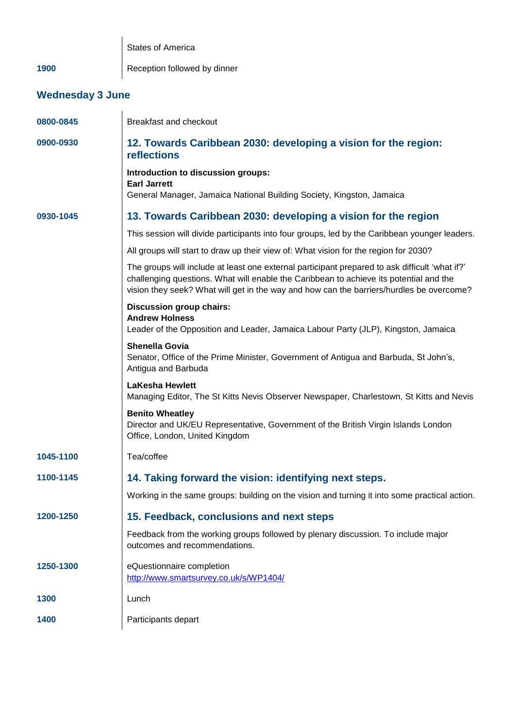|                         | <b>States of America</b>                                                                                                                                                                                                                                                             |  |
|-------------------------|--------------------------------------------------------------------------------------------------------------------------------------------------------------------------------------------------------------------------------------------------------------------------------------|--|
| 1900                    | Reception followed by dinner                                                                                                                                                                                                                                                         |  |
| <b>Wednesday 3 June</b> |                                                                                                                                                                                                                                                                                      |  |
| 0800-0845               | Breakfast and checkout                                                                                                                                                                                                                                                               |  |
| 0900-0930               | 12. Towards Caribbean 2030: developing a vision for the region:<br><b>reflections</b>                                                                                                                                                                                                |  |
|                         | Introduction to discussion groups:<br><b>Earl Jarrett</b><br>General Manager, Jamaica National Building Society, Kingston, Jamaica                                                                                                                                                   |  |
| 0930-1045               | 13. Towards Caribbean 2030: developing a vision for the region                                                                                                                                                                                                                       |  |
|                         | This session will divide participants into four groups, led by the Caribbean younger leaders.                                                                                                                                                                                        |  |
|                         | All groups will start to draw up their view of: What vision for the region for 2030?                                                                                                                                                                                                 |  |
|                         | The groups will include at least one external participant prepared to ask difficult 'what if?'<br>challenging questions. What will enable the Caribbean to achieve its potential and the<br>vision they seek? What will get in the way and how can the barriers/hurdles be overcome? |  |
|                         | <b>Discussion group chairs:</b><br><b>Andrew Holness</b><br>Leader of the Opposition and Leader, Jamaica Labour Party (JLP), Kingston, Jamaica                                                                                                                                       |  |
|                         | <b>Shenella Govia</b><br>Senator, Office of the Prime Minister, Government of Antigua and Barbuda, St John's,<br>Antigua and Barbuda                                                                                                                                                 |  |
|                         | <b>LaKesha Hewlett</b><br>Managing Editor, The St Kitts Nevis Observer Newspaper, Charlestown, St Kitts and Nevis                                                                                                                                                                    |  |
|                         | <b>Benito Wheatley</b><br>Director and UK/EU Representative, Government of the British Virgin Islands London<br>Office, London, United Kingdom                                                                                                                                       |  |
| 1045-1100               | Tea/coffee                                                                                                                                                                                                                                                                           |  |
| 1100-1145               | 14. Taking forward the vision: identifying next steps.                                                                                                                                                                                                                               |  |
|                         | Working in the same groups: building on the vision and turning it into some practical action.                                                                                                                                                                                        |  |
| 1200-1250               | 15. Feedback, conclusions and next steps                                                                                                                                                                                                                                             |  |
|                         | Feedback from the working groups followed by plenary discussion. To include major<br>outcomes and recommendations.                                                                                                                                                                   |  |
| 1250-1300               | eQuestionnaire completion<br>http://www.smartsurvey.co.uk/s/WP1404/                                                                                                                                                                                                                  |  |
| 1300                    | Lunch                                                                                                                                                                                                                                                                                |  |
| 1400                    | Participants depart                                                                                                                                                                                                                                                                  |  |
|                         |                                                                                                                                                                                                                                                                                      |  |